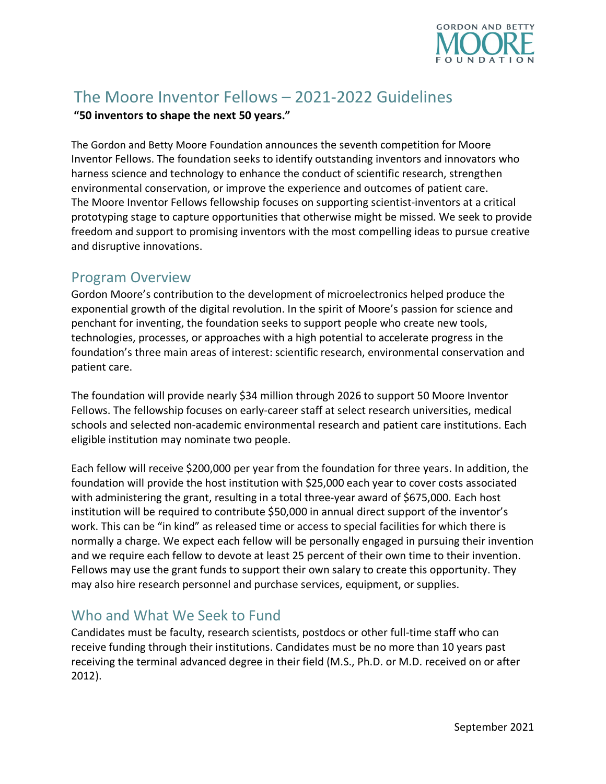

# The Moore Inventor Fellows – 2021-2022 Guidelines

#### **"50 inventors to shape the next 50 years."**

The Gordon and Betty Moore Foundation announces the seventh competition for Moore Inventor Fellows. The foundation seeks to identify outstanding inventors and innovators who harness science and technology to enhance the conduct of scientific research, strengthen environmental conservation, or improve the experience and outcomes of patient care. The Moore Inventor Fellows fellowship focuses on supporting scientist-inventors at a critical prototyping stage to capture opportunities that otherwise might be missed. We seek to provide freedom and support to promising inventors with the most compelling ideas to pursue creative and disruptive innovations.

#### Program Overview

Gordon Moore's contribution to the development of microelectronics helped produce the exponential growth of the digital revolution. In the spirit of Moore's passion for science and penchant for inventing, the foundation seeks to support people who create new tools, technologies, processes, or approaches with a high potential to accelerate progress in the foundation's three main areas of interest: scientific research, environmental conservation and patient care.

The foundation will provide nearly \$34 million through 2026 to support 50 Moore Inventor Fellows. The fellowship focuses on early-career staff at select research universities, medical schools and selected non-academic environmental research and patient care institutions. Each eligible institution may nominate two people.

Each fellow will receive \$200,000 per year from the foundation for three years. In addition, the foundation will provide the host institution with \$25,000 each year to cover costs associated with administering the grant, resulting in a total three-year award of \$675,000. Each host institution will be required to contribute \$50,000 in annual direct support of the inventor's work. This can be "in kind" as released time or access to special facilities for which there is normally a charge. We expect each fellow will be personally engaged in pursuing their invention and we require each fellow to devote at least 25 percent of their own time to their invention. Fellows may use the grant funds to support their own salary to create this opportunity. They may also hire research personnel and purchase services, equipment, or supplies.

# Who and What We Seek to Fund

Candidates must be faculty, research scientists, postdocs or other full-time staff who can receive funding through their institutions. Candidates must be no more than 10 years past receiving the terminal advanced degree in their field (M.S., Ph.D. or M.D. received on or after 2012).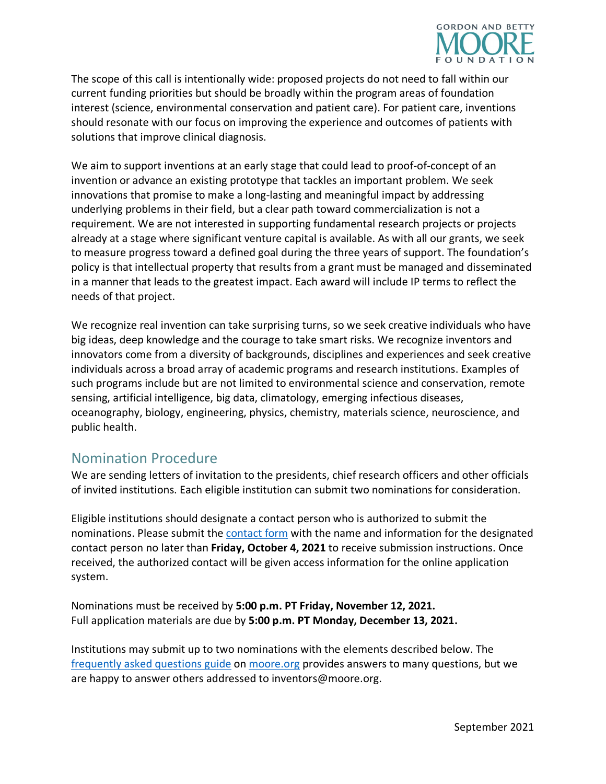

The scope of this call is intentionally wide: proposed projects do not need to fall within our current funding priorities but should be broadly within the program areas of foundation interest (science, environmental conservation and patient care). For patient care, inventions should resonate with our focus on improving the experience and outcomes of patients with solutions that improve clinical diagnosis.

We aim to support inventions at an early stage that could lead to proof-of-concept of an invention or advance an existing prototype that tackles an important problem. We seek innovations that promise to make a long-lasting and meaningful impact by addressing underlying problems in their field, but a clear path toward commercialization is not a requirement. We are not interested in supporting fundamental research projects or projects already at a stage where significant venture capital is available. As with all our grants, we seek to measure progress toward a defined goal during the three years of support. The foundation's policy is that intellectual property that results from a grant must be managed and disseminated in a manner that leads to the greatest impact. Each award will include IP terms to reflect the needs of that project.

We recognize real invention can take surprising turns, so we seek creative individuals who have big ideas, deep knowledge and the courage to take smart risks. We recognize inventors and innovators come from a diversity of backgrounds, disciplines and experiences and seek creative individuals across a broad array of academic programs and research institutions. Examples of such programs include but are not limited to environmental science and conservation, remote sensing, artificial intelligence, big data, climatology, emerging infectious diseases, oceanography, biology, engineering, physics, chemistry, materials science, neuroscience, and public health.

### Nomination Procedure

We are sending letters of invitation to the presidents, chief research officers and other officials of invited institutions. Each eligible institution can submit two nominations for consideration.

Eligible institutions should designate a contact person who is authorized to submit the nominations. Please submit the [contact form](https://app.smartsheet.com/b/form/d0012d775df7436d88ad71ed409de37e) with the name and information for the designated contact person no later than **Friday, October 4, 2021** to receive submission instructions. Once received, the authorized contact will be given access information for the online application system.

Nominations must be received by **5:00 p.m. PT Friday, November 12, 2021.** Full application materials are due by **5:00 p.m. PT Monday, December 13, 2021.** 

Institutions may submit up to two nominations with the elements described below. The [frequently asked questions guide](https://www.moore.org/docs/default-source/moore-inventor-fellows/moore-inventor-fellows_faq) on [moore.org](https://www.moore.org/initiative-strategy-detail?initiativeId=moore-inventor-fellows) provides answers to many questions, but we are happy to answer others addressed to inventors@moore.org.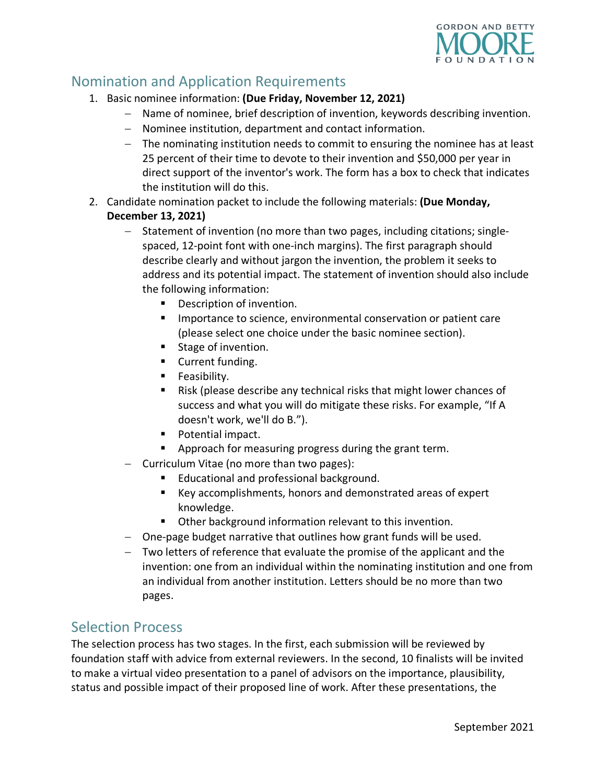

# Nomination and Application Requirements

- 1. Basic nominee information: **(Due Friday, November 12, 2021)** 
	- − Name of nominee, brief description of invention, keywords describing invention.
	- − Nominee institution, department and contact information.
	- − The nominating institution needs to commit to ensuring the nominee has at least 25 percent of their time to devote to their invention and \$50,000 per year in direct support of the inventor's work. The form has a box to check that indicates the institution will do this.
- 2. Candidate nomination packet to include the following materials: **(Due Monday, December 13, 2021)** 
	- − Statement of invention (no more than two pages, including citations; singlespaced, 12-point font with one-inch margins). The first paragraph should describe clearly and without jargon the invention, the problem it seeks to address and its potential impact. The statement of invention should also include the following information:
		- **Description of invention.**
		- Importance to science, environmental conservation or patient care (please select one choice under the basic nominee section).
		- Stage of invention.
		- **Current funding.**
		- **Feasibility.**
		- Risk (please describe any technical risks that might lower chances of success and what you will do mitigate these risks. For example, "If A doesn't work, we'll do B.").
		- **Potential impact.**
		- **•** Approach for measuring progress during the grant term.
	- − Curriculum Vitae (no more than two pages):
		- Educational and professional background.
		- Key accomplishments, honors and demonstrated areas of expert knowledge.
		- **•** Other background information relevant to this invention.
	- − One-page budget narrative that outlines how grant funds will be used.
	- − Two letters of reference that evaluate the promise of the applicant and the invention: one from an individual within the nominating institution and one from an individual from another institution. Letters should be no more than two pages.

### Selection Process

The selection process has two stages. In the first, each submission will be reviewed by foundation staff with advice from external reviewers. In the second, 10 finalists will be invited to make a virtual video presentation to a panel of advisors on the importance, plausibility, status and possible impact of their proposed line of work. After these presentations, the